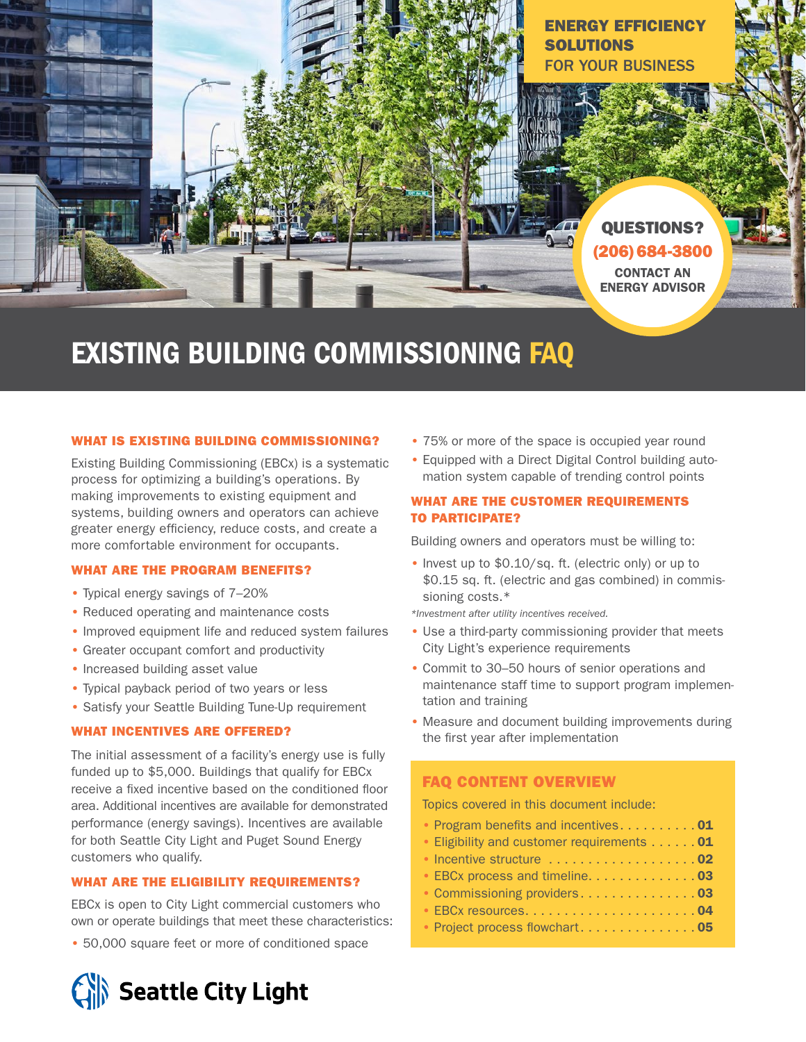

# EXISTING BUILDING COMMISSIONING FAQ

### WHAT IS EXISTING BUILDING COMMISSIONING?

Existing Building Commissioning (EBCx) is a systematic process for optimizing a building's operations. By making improvements to existing equipment and systems, building owners and operators can achieve greater energy efficiency, reduce costs, and create a more comfortable environment for occupants.

### WHAT ARE THE PROGRAM BENEFITS?

- Typical energy savings of 7–20%
- Reduced operating and maintenance costs
- Improved equipment life and reduced system failures
- Greater occupant comfort and productivity
- Increased building asset value
- Typical payback period of two years or less
- Satisfy your Seattle Building Tune-Up requirement

## WHAT INCENTIVES ARE OFFERED?

The initial assessment of a facility's energy use is fully funded up to \$5,000. Buildings that qualify for EBCx receive a fixed incentive based on the conditioned floor area. Additional incentives are available for demonstrated performance (energy savings). Incentives are available for both Seattle City Light and Puget Sound Energy customers who qualify.

#### WHAT ARE THE ELIGIBILITY REQUIREMENTS?

EBCx is open to City Light commercial customers who own or operate buildings that meet these characteristics:

• 50,000 square feet or more of conditioned space

Seattle City Light

- 75% or more of the space is occupied year round
- Equipped with a Direct Digital Control building automation system capable of trending control points

## WHAT ARE THE CUSTOMER REQUIREMENTS TO PARTICIPATE?

Building owners and operators must be willing to:

• Invest up to \$0.10/sq. ft. (electric only) or up to \$0.15 sq. ft. (electric and gas combined) in commissioning costs.\*

*\*Investment after utility incentives received.*

- Use a third-party commissioning provider that meets City Light's experience requirements
- Commit to 30–50 hours of senior operations and maintenance staff time to support program implementation and training
- Measure and document building improvements during the first year after implementation

## FAQ CONTENT OVERVIEW

Topics covered in this document include:

- Program benefits and incentives.  $\ldots \ldots \ldots 01$
- Eligibility and customer requirements  $\ldots \ldots 01$
- $\bullet$  Incentive structure  $\dots\dots\dots\dots\dots\dots$ 02
- EBCx process and timeline. . . . . . . . . . . . . 03
- Commissioning providers..................03
- EBCx resources. . 04
- Project process flowchart....................05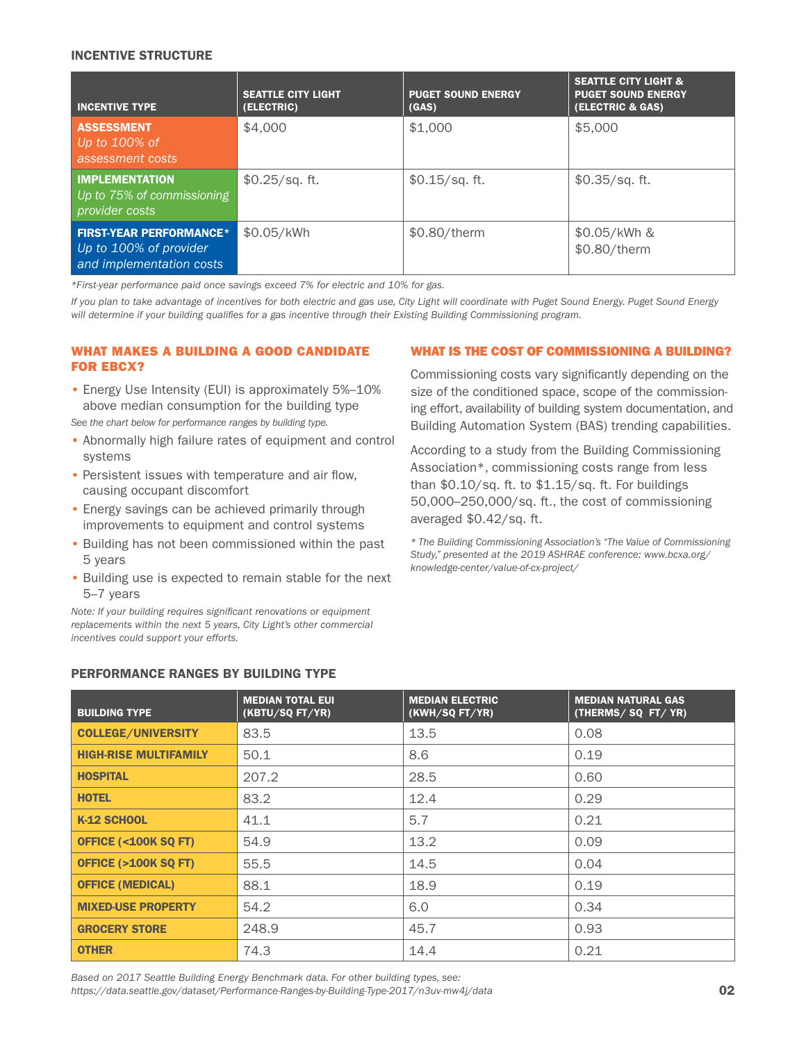#### INCENTIVE STRUCTURE

| <b>INCENTIVE TYPE</b>                                                                | <b>SEATTLE CITY LIGHT</b><br>(ELECTRIC) | <b>PUGET SOUND ENERGY</b><br>(GAS) | <b>SEATTLE CITY LIGHT &amp;</b><br><b>PUGET SOUND ENERGY</b><br>(ELECTRIC & GAS) |
|--------------------------------------------------------------------------------------|-----------------------------------------|------------------------------------|----------------------------------------------------------------------------------|
| <b>ASSESSMENT</b><br>Up to 100% of<br>assessment costs                               | \$4,000                                 | \$1,000                            | \$5,000                                                                          |
| <b>IMPLEMENTATION</b><br>Up to 75% of commissioning<br>provider costs                | $$0.25$ /sq. ft.                        | $$0.15$ /sq. ft.                   | $$0.35/sq.$ ft.                                                                  |
| <b>FIRST-YEAR PERFORMANCE*</b><br>Up to 100% of provider<br>and implementation costs | \$0.05/kWh                              | $$0.80$ /therm                     | \$0.05/kWh &<br>\$0.80/therm                                                     |

*\*First-year performance paid once savings exceed 7% for electric and 10% for gas.*

*If you plan to take advantage of incentives for both electric and gas use, City Light will coordinate with Puget Sound Energy. Puget Sound Energy will determine if your building qualifies for a gas incentive through their Existing Building Commissioning program.*

### WHAT MAKES A BUILDING A GOOD CANDIDATE FOR EBCX?

• Energy Use Intensity (EUI) is approximately 5%–10% above median consumption for the building type *See the chart below for performance ranges by building type.*

- Abnormally high failure rates of equipment and control systems
- Persistent issues with temperature and air flow, causing occupant discomfort
- Energy savings can be achieved primarily through improvements to equipment and control systems
- Building has not been commissioned within the past 5 years
- Building use is expected to remain stable for the next 5–7 years

*Note: If your building requires significant renovations or equipment replacements within the next 5 years, City Light's other commercial incentives could support your efforts.* 

### WHAT IS THE COST OF COMMISSIONING A BUILDING?

Commissioning costs vary significantly depending on the size of the conditioned space, scope of the commissioning effort, availability of building system documentation, and Building Automation System (BAS) trending capabilities.

According to a study from the Building Commissioning Association\*, commissioning costs range from less than \$0.10/sq. ft. to \$1.15/sq. ft. For buildings 50,000–250,000/sq. ft., the cost of commissioning averaged \$0.42/sq. ft.

*\* The Building Commissioning Association's "The Value of Commissioning [Study," presented at the 2019 ASHRAE conference: www.bcxa.org/](www.bcxa.org/knowledge-center/value-of-cx-project/) knowledge-center/value-of-cx-project/*

| <b>BUILDING TYPE</b>           | <b>MEDIAN TOTAL EUI</b><br>(KBTU/SQ FT/YR) | <b>MEDIAN ELECTRIC</b><br>(KWH/SQ FT/YR) | <b>MEDIAN NATURAL GAS</b><br>(THERMS/SQ FT/YR) |
|--------------------------------|--------------------------------------------|------------------------------------------|------------------------------------------------|
| <b>COLLEGE/UNIVERSITY</b>      | 83.5                                       | 13.5                                     | 0.08                                           |
| <b>HIGH-RISE MULTIFAMILY</b>   | 50.1                                       | 8.6                                      | 0.19                                           |
| <b>HOSPITAL</b>                | 207.2                                      | 28.5                                     | 0.60                                           |
| <b>HOTEL</b>                   | 83.2                                       | 12.4                                     | 0.29                                           |
| K-12 SCHOOL                    | 41.1                                       | 5.7                                      | 0.21                                           |
| <b>OFFICE (&lt;100K SQ FT)</b> | 54.9                                       | 13.2                                     | 0.09                                           |
| <b>OFFICE (&gt;100K SQ FT)</b> | 55.5                                       | 14.5                                     | 0.04                                           |
| <b>OFFICE (MEDICAL)</b>        | 88.1                                       | 18.9                                     | 0.19                                           |
| <b>MIXED-USE PROPERTY</b>      | 54.2                                       | 6.0                                      | 0.34                                           |
| <b>GROCERY STORE</b>           | 248.9                                      | 45.7                                     | 0.93                                           |
| <b>OTHER</b>                   | 74.3                                       | 14.4                                     | 0.21                                           |

## PERFORMANCE RANGES BY BUILDING TYPE

*Based on 2017 Seattle Building Energy Benchmark data. For other building types, see: https://data.seattle.gov/dataset/Performance-Ranges-by-Building-Type-2017/n3uv-mw4j/data* 02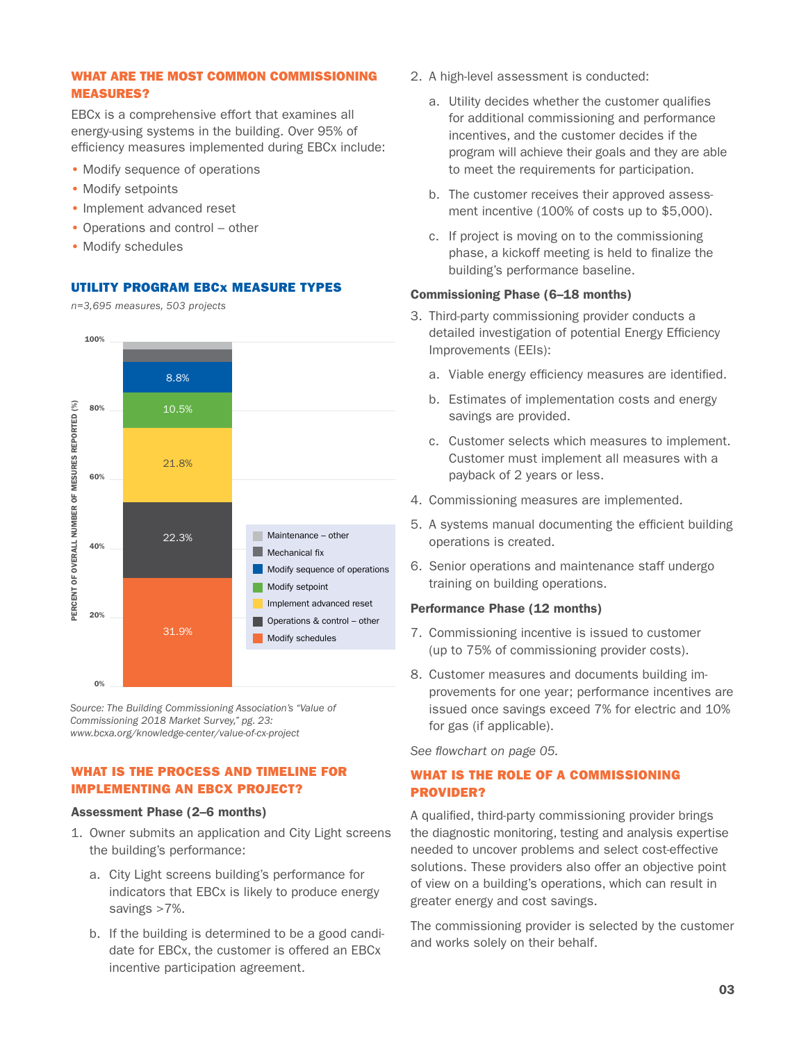## WHAT ARE THE MOST COMMON COMMISSIONING MEASURES?

EBCx is a comprehensive effort that examines all energy-using systems in the building. Over 95% of efficiency measures implemented during EBCx include:

- Modify sequence of operations
- Modify setpoints
- Implement advanced reset
- Operations and control other
- Modify schedules

### UTILITY PROGRAM EBCx MEASURE TYPES

*n=3,695 measures, 503 projects*



*Source: The Building Commissioning Association's "Value of Commissioning 2018 Market Survey," pg. 23: www.bcxa.org/knowledge-center/value-of-cx-project*

## WHAT IS THE PROCESS AND TIMELINE FOR IMPLEMENTING AN EBCX PROJECT?

#### Assessment Phase (2–6 months)

- 1. Owner submits an application and City Light screens the building's performance:
	- a. City Light screens building's performance for indicators that EBCx is likely to produce energy savings >7%.
	- b. If the building is determined to be a good candidate for EBCx, the customer is offered an EBCx incentive participation agreement.
- 2. A high-level assessment is conducted:
	- a. Utility decides whether the customer qualifies for additional commissioning and performance incentives, and the customer decides if the program will achieve their goals and they are able to meet the requirements for participation.
	- b. The customer receives their approved assessment incentive (100% of costs up to \$5,000).
	- c. If project is moving on to the commissioning phase, a kickoff meeting is held to finalize the building's performance baseline.

#### Commissioning Phase (6–18 months)

- 3. Third-party commissioning provider conducts a detailed investigation of potential Energy Efficiency Improvements (EEIs):
	- a. Viable energy efficiency measures are identified.
	- b. Estimates of implementation costs and energy savings are provided.
	- c. Customer selects which measures to implement. Customer must implement all measures with a payback of 2 years or less.
- 4. Commissioning measures are implemented.
- 5. A systems manual documenting the efficient building operations is created.
- 6. Senior operations and maintenance staff undergo training on building operations.

### Performance Phase (12 months)

- 7. Commissioning incentive is issued to customer (up to 75% of commissioning provider costs).
- 8. Customer measures and documents building improvements for one year; performance incentives are issued once savings exceed 7% for electric and 10% for gas (if applicable).

*See flowchart on page 05.*

# WHAT IS THE ROLE OF A COMMISSIONING PROVIDER?

A qualified, third-party commissioning provider brings the diagnostic monitoring, testing and analysis expertise needed to uncover problems and select cost-effective solutions. These providers also offer an objective point of view on a building's operations, which can result in greater energy and cost savings.

The commissioning provider is selected by the customer and works solely on their behalf.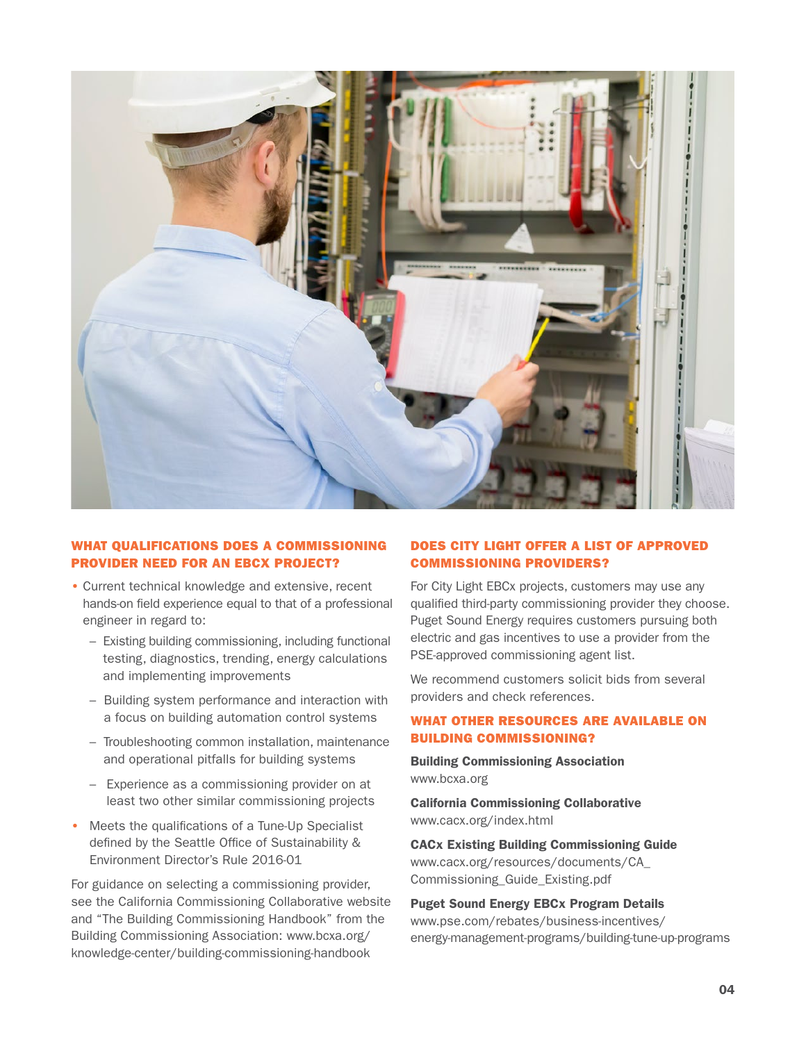

## WHAT QUALIFICATIONS DOES A COMMISSIONING PROVIDER NEED FOR AN EBCX PROJECT?

- Current technical knowledge and extensive, recent hands-on field experience equal to that of a professional engineer in regard to:
	- Existing building commissioning, including functional testing, diagnostics, trending, energy calculations and implementing improvements
	- Building system performance and interaction with a focus on building automation control systems
	- Troubleshooting common installation, maintenance and operational pitfalls for building systems
	- Experience as a commissioning provider on at least two other similar commissioning projects
- Meets the qualifications of a Tune-Up Specialist defined by the Seattle Office of Sustainability & Environment Director's Rule 2016-01

For guidance on selecting a commissioning provider, see the California Commissioning Collaborative website and "The Building Commissioning Handbook" from the Building Commissioning Association: www.bcxa.org/ [knowledge-center/building-commissioning-handbook](www.bcxa.org/knowledge-center/building-commissioning-handbook)

## DOES CITY LIGHT OFFER A LIST OF APPROVED COMMISSIONING PROVIDERS?

For City Light EBCx projects, customers may use any qualified third-party commissioning provider they choose. Puget Sound Energy requires customers pursuing both electric and gas incentives to use a provider from the PSE-approved commissioning agent list.

We recommend customers solicit bids from several providers and check references.

## WHAT OTHER RESOURCES ARE AVAILABLE ON BUILDING COMMISSIONING?

Building Commissioning Association www.bcxa.org

California Commissioning Collaborative www.cacx.org/index.html

CACx Existing Building Commissioning Guide [www.cacx.org/resources/documents/CA\\_](www.cacx.org/resources/documents/CA_Commissioning_Guide_Existing.pdf)  Commissioning\_Guide\_Existing.pdf

Puget Sound Energy EBCx Program Details www.pse.com/rebates/business-incentives/ [energy-management-programs/building-tune-up-programs](www.pse.com/rebates/business-incentives/energy-management-programs/building-tune-up-programs)